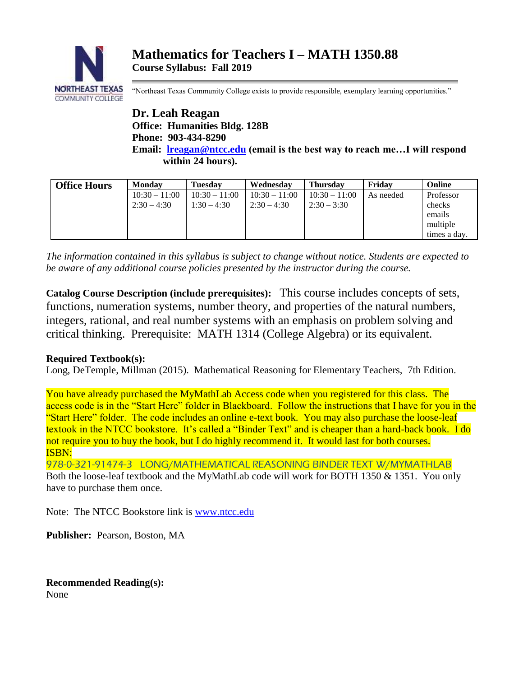

"Northeast Texas Community College exists to provide responsible, exemplary learning opportunities."

**Dr. Leah Reagan Office: Humanities Bldg. 128B Phone: 903-434-8290 Email: [lreagan@ntcc.edu](mailto:lreagan@ntcc.edu) (email is the best way to reach me…I will respond within 24 hours).**

| <b>Office Hours</b> | <b>Monday</b>   | <b>Tuesday</b>  | Wednesday       | <b>Thursday</b> | Fridav    | Online       |
|---------------------|-----------------|-----------------|-----------------|-----------------|-----------|--------------|
|                     | $10:30 - 11:00$ | $10:30 - 11:00$ | $10:30 - 11:00$ | $10:30 - 11:00$ | As needed | Professor    |
|                     | $2:30 - 4:30$   | $1:30 - 4:30$   | $2:30 - 4:30$   | $2:30 - 3:30$   |           | checks       |
|                     |                 |                 |                 |                 |           | emails       |
|                     |                 |                 |                 |                 |           | multiple     |
|                     |                 |                 |                 |                 |           | times a day. |

*The information contained in this syllabus is subject to change without notice. Students are expected to be aware of any additional course policies presented by the instructor during the course.*

**Catalog Course Description (include prerequisites):** This course includes concepts of sets, functions, numeration systems, number theory, and properties of the natural numbers, integers, rational, and real number systems with an emphasis on problem solving and critical thinking. Prerequisite: MATH 1314 (College Algebra) or its equivalent.

# **Required Textbook(s):**

Long, DeTemple, Millman (2015). Mathematical Reasoning for Elementary Teachers, 7th Edition.

You have already purchased the MyMathLab Access code when you registered for this class. The access code is in the "Start Here" folder in Blackboard. Follow the instructions that I have for you in the "Start Here" folder. The code includes an online e-text book. You may also purchase the loose-leaf textook in the NTCC bookstore. It's called a "Binder Text" and is cheaper than a hard-back book. I do not require you to buy the book, but I do highly recommend it. It would last for both courses. ISBN:

978-0-321-91474-3 LONG/MATHEMATICAL REASONING BINDER TEXT W/MYMATHLAB Both the loose-leaf textbook and the MyMathLab code will work for BOTH 1350 & 1351. You only have to purchase them once.

Note: The NTCC Bookstore link is [www.ntcc.edu](http://www.ntcc.edu/)

**Publisher:** Pearson, Boston, MA

**Recommended Reading(s):** None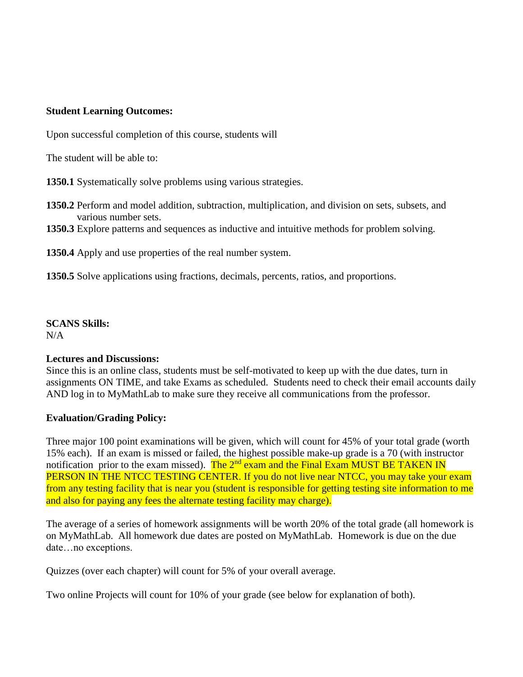### **Student Learning Outcomes:**

Upon successful completion of this course, students will

The student will be able to:

**1350.1** Systematically solve problems using various strategies.

- **1350.2** Perform and model addition, subtraction, multiplication, and division on sets, subsets, and various number sets.
- **1350.3** Explore patterns and sequences as inductive and intuitive methods for problem solving.

**1350.4** Apply and use properties of the real number system.

**1350.5** Solve applications using fractions, decimals, percents, ratios, and proportions.

### **SCANS Skills:**

N/A

### **Lectures and Discussions:**

Since this is an online class, students must be self-motivated to keep up with the due dates, turn in assignments ON TIME, and take Exams as scheduled. Students need to check their email accounts daily AND log in to MyMathLab to make sure they receive all communications from the professor.

### **Evaluation/Grading Policy:**

Three major 100 point examinations will be given, which will count for 45% of your total grade (worth 15% each). If an exam is missed or failed, the highest possible make-up grade is a 70 (with instructor notification prior to the exam missed). The  $2<sup>nd</sup>$  exam and the Final Exam MUST BE TAKEN IN PERSON IN THE NTCC TESTING CENTER. If you do not live near NTCC, you may take your exam from any testing facility that is near you (student is responsible for getting testing site information to me and also for paying any fees the alternate testing facility may charge).

The average of a series of homework assignments will be worth 20% of the total grade (all homework is on MyMathLab. All homework due dates are posted on MyMathLab. Homework is due on the due date…no exceptions.

Quizzes (over each chapter) will count for 5% of your overall average.

Two online Projects will count for 10% of your grade (see below for explanation of both).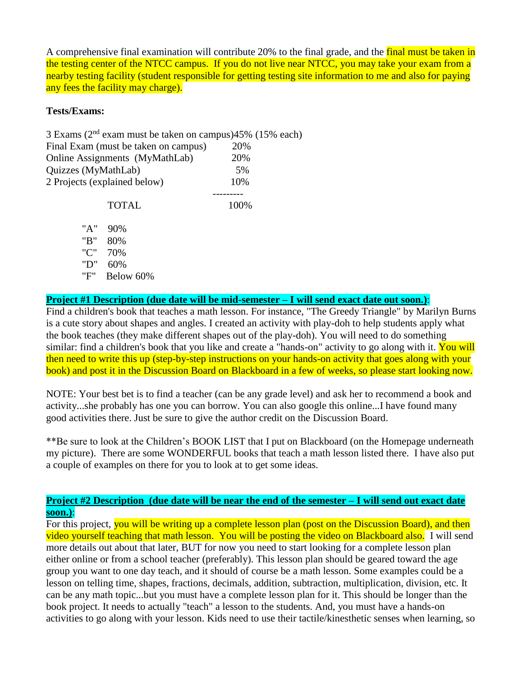A comprehensive final examination will contribute 20% to the final grade, and the final must be taken in the testing center of the NTCC campus. If you do not live near NTCC, you may take your exam from a nearby testing facility (student responsible for getting testing site information to me and also for paying any fees the facility may charge).

### **Tests/Exams:**

|                     | 3 Exams ( $2nd$ exam must be taken on campus) $45%$ (15% each) |      |  |
|---------------------|----------------------------------------------------------------|------|--|
|                     | Final Exam (must be taken on campus)                           | 20%  |  |
|                     | Online Assignments (MyMathLab)                                 | 20%  |  |
| Quizzes (MyMathLab) |                                                                | 5%   |  |
|                     | 2 Projects (explained below)                                   | 10%  |  |
|                     |                                                                |      |  |
|                     | <b>TOTAL</b>                                                   | 100% |  |
| "A"                 | 90%                                                            |      |  |
| "B"                 | 80%                                                            |      |  |
| "C"                 | 70%                                                            |      |  |
| "D"                 | 60%                                                            |      |  |

"F" Below 60%

**Project #1 Description (due date will be mid-semester – I will send exact date out soon.)**:

Find a children's book that teaches a math lesson. For instance, "The Greedy Triangle" by Marilyn Burns is a cute story about shapes and angles. I created an activity with play-doh to help students apply what the book teaches (they make different shapes out of the play-doh). You will need to do something similar: find a children's book that you like and create a "hands-on" activity to go along with it. You will then need to write this up (step-by-step instructions on your hands-on activity that goes along with your book) and post it in the Discussion Board on Blackboard in a few of weeks, so please start looking now.

NOTE: Your best bet is to find a teacher (can be any grade level) and ask her to recommend a book and activity...she probably has one you can borrow. You can also google this online...I have found many good activities there. Just be sure to give the author credit on the Discussion Board.

\*\*Be sure to look at the Children's BOOK LIST that I put on Blackboard (on the Homepage underneath my picture). There are some WONDERFUL books that teach a math lesson listed there. I have also put a couple of examples on there for you to look at to get some ideas.

### **Project #2 Description (due date will be near the end of the semester – I will send out exact date soon.)**:

For this project, you will be writing up a complete lesson plan (post on the Discussion Board), and then video yourself teaching that math lesson. You will be posting the video on Blackboard also. I will send more details out about that later, BUT for now you need to start looking for a complete lesson plan either online or from a school teacher (preferably). This lesson plan should be geared toward the age group you want to one day teach, and it should of course be a math lesson. Some examples could be a lesson on telling time, shapes, fractions, decimals, addition, subtraction, multiplication, division, etc. It can be any math topic...but you must have a complete lesson plan for it. This should be longer than the book project. It needs to actually "teach" a lesson to the students. And, you must have a hands-on activities to go along with your lesson. Kids need to use their tactile/kinesthetic senses when learning, so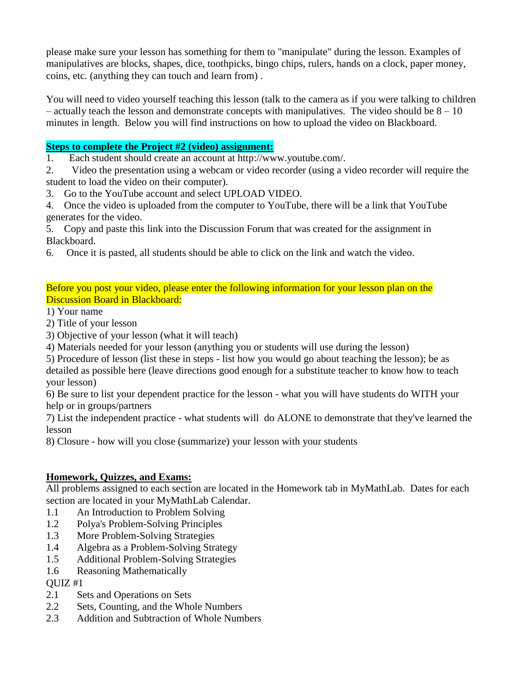please make sure your lesson has something for them to "manipulate" during the lesson. Examples of manipulatives are blocks, shapes, dice, toothpicks, bingo chips, rulers, hands on a clock, paper money, coins, etc. (anything they can touch and learn from) .

You will need to video yourself teaching this lesson (talk to the camera as if you were talking to children  $-$  actually teach the lesson and demonstrate concepts with manipulatives. The video should be  $8 - 10$ minutes in length. Below you will find instructions on how to upload the video on Blackboard.

### **Steps to complete the Project #2 (video) assignment:**

1. Each student should create an account at http://www.youtube.com/.

2. Video the presentation using a webcam or video recorder (using a video recorder will require the student to load the video on their computer).

3. Go to the YouTube account and select UPLOAD VIDEO.

4. Once the video is uploaded from the computer to YouTube, there will be a link that YouTube generates for the video.

5. Copy and paste this link into the Discussion Forum that was created for the assignment in Blackboard.

6. Once it is pasted, all students should be able to click on the link and watch the video.

Before you post your video, please enter the following information for your lesson plan on the Discussion Board in Blackboard:

1) Your name

2) Title of your lesson

3) Objective of your lesson (what it will teach)

4) Materials needed for your lesson (anything you or students will use during the lesson)

5) Procedure of lesson (list these in steps - list how you would go about teaching the lesson); be as detailed as possible here (leave directions good enough for a substitute teacher to know how to teach your lesson)

6) Be sure to list your dependent practice for the lesson - what you will have students do WITH your help or in groups/partners

7) List the independent practice - what students will do ALONE to demonstrate that they've learned the lesson

8) Closure - how will you close (summarize) your lesson with your students

# **Homework, Quizzes, and Exams:**

All problems assigned to each section are located in the Homework tab in MyMathLab. Dates for each section are located in your MyMathLab Calendar.

- 1.1 An Introduction to Problem Solving
- 1.2 Polya's Problem-Solving Principles
- 1.3 More Problem-Solving Strategies
- 1.4 Algebra as a Problem-Solving Strategy
- 1.5 Additional Problem-Solving Strategies
- 1.6 Reasoning Mathematically

QUIZ #1

- 2.1 Sets and Operations on Sets
- 2.2 Sets, Counting, and the Whole Numbers
- 2.3 Addition and Subtraction of Whole Numbers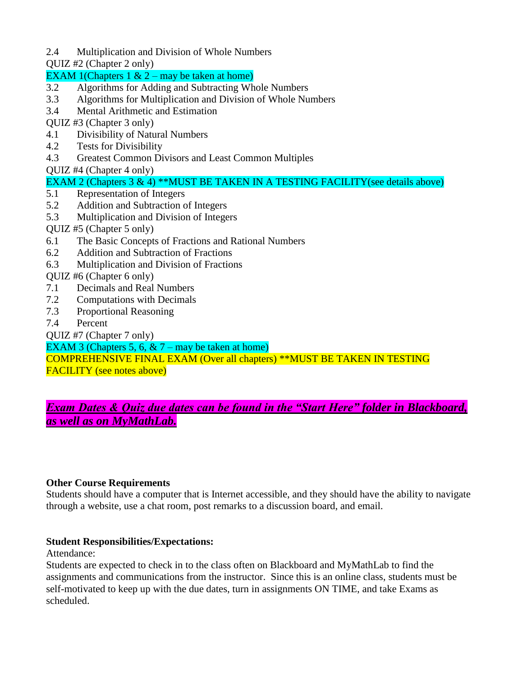2.4 Multiplication and Division of Whole Numbers

QUIZ #2 (Chapter 2 only)

### EXAM 1(Chapters  $1 \& 2 -$  may be taken at home)

- 3.2 Algorithms for Adding and Subtracting Whole Numbers
- 3.3 Algorithms for Multiplication and Division of Whole Numbers
- 3.4 Mental Arithmetic and Estimation

QUIZ #3 (Chapter 3 only)

- 4.1 Divisibility of Natural Numbers
- 4.2 Tests for Divisibility
- 4.3 Greatest Common Divisors and Least Common Multiples

QUIZ #4 (Chapter 4 only)

- EXAM 2 (Chapters 3 & 4) \*\*MUST BE TAKEN IN A TESTING FACILITY(see details above)
- 5.1 Representation of Integers
- 5.2 Addition and Subtraction of Integers
- 5.3 Multiplication and Division of Integers

QUIZ #5 (Chapter 5 only)

- 6.1 The Basic Concepts of Fractions and Rational Numbers
- 6.2 Addition and Subtraction of Fractions
- 6.3 Multiplication and Division of Fractions

QUIZ #6 (Chapter 6 only)

- 7.1 Decimals and Real Numbers
- 7.2 Computations with Decimals
- 7.3 Proportional Reasoning
- 7.4 Percent

QUIZ #7 (Chapter 7 only)

EXAM 3 (Chapters 5, 6,  $& 7 -$  may be taken at home)

COMPREHENSIVE FINAL EXAM (Over all chapters) \*\*MUST BE TAKEN IN TESTING FACILITY (see notes above)

# *Exam Dates & Quiz due dates can be found in the "Start Here" folder in Blackboard, as well as on MyMathLab.*

### **Other Course Requirements**

Students should have a computer that is Internet accessible, and they should have the ability to navigate through a website, use a chat room, post remarks to a discussion board, and email.

### **Student Responsibilities/Expectations:**

Attendance:

Students are expected to check in to the class often on Blackboard and MyMathLab to find the assignments and communications from the instructor. Since this is an online class, students must be self-motivated to keep up with the due dates, turn in assignments ON TIME, and take Exams as scheduled.